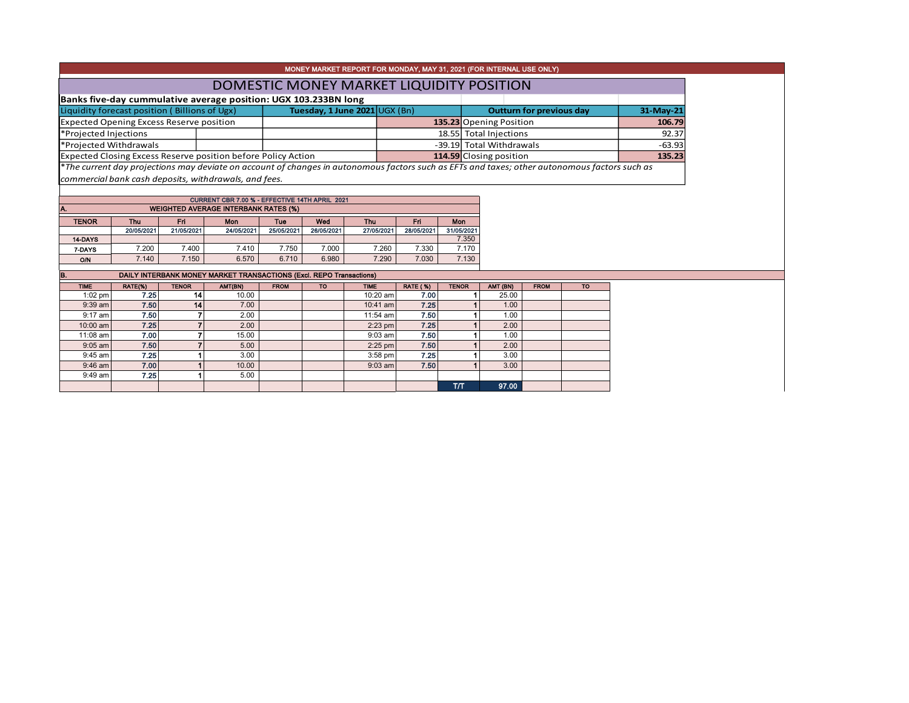|                                                                 |                                          |                                 |  | MONEY MARKET REPORT FOR MONDAY, MAY 31, 2021 (FOR INTERNAL USE ONLY)                                                                                      |           |  |  |  |  |
|-----------------------------------------------------------------|------------------------------------------|---------------------------------|--|-----------------------------------------------------------------------------------------------------------------------------------------------------------|-----------|--|--|--|--|
|                                                                 | DOMESTIC MONEY MARKET LIQUIDITY POSITION |                                 |  |                                                                                                                                                           |           |  |  |  |  |
| Banks five-day cummulative average position: UGX 103.233BN long |                                          |                                 |  |                                                                                                                                                           |           |  |  |  |  |
| Liquidity forecast position (Billions of Ugx)                   |                                          | Tuesday, 1 June $2021$ UGX (Bn) |  | <b>Outturn for previous day</b>                                                                                                                           | 31-May-21 |  |  |  |  |
| <b>Expected Opening Excess Reserve position</b>                 |                                          |                                 |  | 135.23 Opening Position                                                                                                                                   | 106.79    |  |  |  |  |
| *Projected Injections                                           |                                          |                                 |  | 18.55 Total Injections                                                                                                                                    | 92.37     |  |  |  |  |
| *Projected Withdrawals                                          |                                          |                                 |  | -39.19 Total Withdrawals                                                                                                                                  | $-63.93$  |  |  |  |  |
| Expected Closing Excess Reserve position before Policy Action   |                                          |                                 |  | 114.59 Closing position                                                                                                                                   | 135.23    |  |  |  |  |
|                                                                 |                                          |                                 |  | <sup>*</sup> The current day projections may deviate on account of changes in autonomous factors such as EFTs and taxes; other autonomous factors such as |           |  |  |  |  |

*commercial bank cash deposits, withdrawals, and fees.*

| CURRENT CBR 7.00 % - EFFECTIVE 14TH APRIL 2021 |            |            |                                             |            |                          |            |            |            |  |  |  |  |  |  |
|------------------------------------------------|------------|------------|---------------------------------------------|------------|--------------------------|------------|------------|------------|--|--|--|--|--|--|
| IA.                                            |            |            | <b>WEIGHTED AVERAGE INTERBANK RATES (%)</b> |            |                          |            |            |            |  |  |  |  |  |  |
| <b>TENOR</b>                                   | Thu        | Fri        | Mon                                         | <b>Tue</b> | Wed<br>Mon<br>Fri<br>Thu |            |            |            |  |  |  |  |  |  |
|                                                |            |            |                                             |            |                          |            |            |            |  |  |  |  |  |  |
|                                                | 20/05/2021 | 21/05/2021 | 24/05/2021                                  | 25/05/2021 | 26/05/2021               | 27/05/2021 | 28/05/2021 | 31/05/2021 |  |  |  |  |  |  |
| 14-DAYS                                        |            |            |                                             |            |                          |            |            | 7.350      |  |  |  |  |  |  |
| 7-DAYS                                         | 7.200      | 7.400      | 7.410                                       | 7.750      | 7.000                    | 7.260      | 7.330      | 7.170      |  |  |  |  |  |  |
| <b>O/N</b>                                     | 7.140      | 7.150      | 6.570                                       | 6.710      | 6.980                    | 7.290      | 7.030      | 7.130      |  |  |  |  |  |  |

| B.          | DAILY INTERBANK MONEY MARKET TRANSACTIONS (Excl. REPO Transactions) |              |         |             |           |             |                 |              |                   |             |           |  |  |  |
|-------------|---------------------------------------------------------------------|--------------|---------|-------------|-----------|-------------|-----------------|--------------|-------------------|-------------|-----------|--|--|--|
| <b>TIME</b> | RATE(%)                                                             | <b>TENOR</b> | AMT(BN) | <b>FROM</b> | <b>TO</b> | <b>TIME</b> | <b>RATE (%)</b> | <b>TENOR</b> | AMT (BN)          | <b>FROM</b> | <b>TO</b> |  |  |  |
| $1:02$ pm   | 7.25                                                                | 14           | 10.00   |             |           | 10:20 am    | 7.00            |              | 25.00             |             |           |  |  |  |
| $9:39$ am   | 7.50                                                                | 14           | 7.00    |             |           | $10:41$ am  | 7.25            |              | 1.00 <sub>1</sub> |             |           |  |  |  |
| $9:17$ am   | 7.50                                                                |              | 2.00    |             |           | $11:54$ am  | 7.50            |              | 1.00              |             |           |  |  |  |
| 10:00 am    | 7.25                                                                |              | 2.00    |             |           | $2:23$ pm   | 7.25            |              | 2.00              |             |           |  |  |  |
| 11:08 am    | 7.00                                                                |              | 15.00   |             |           | $9:03$ am   | 7.50            |              | 1.00              |             |           |  |  |  |
| $9:05$ am   | 7.50                                                                |              | 5.00    |             |           | $2:25$ pm   | 7.50            |              | 2.00              |             |           |  |  |  |
| $9:45$ am   | 7.25                                                                |              | 3.00    |             |           | $3:58$ pm   | 7.25            |              | 3.00              |             |           |  |  |  |
| $9:46$ am   | 7.00                                                                |              | 10.00   |             |           | $9:03$ am   | 7.50            |              | 3.00              |             |           |  |  |  |
| $9:49$ am   | 7.25                                                                |              | 5.00    |             |           |             |                 |              |                   |             |           |  |  |  |
|             |                                                                     |              |         |             |           |             |                 | T/T          | 97.00             |             |           |  |  |  |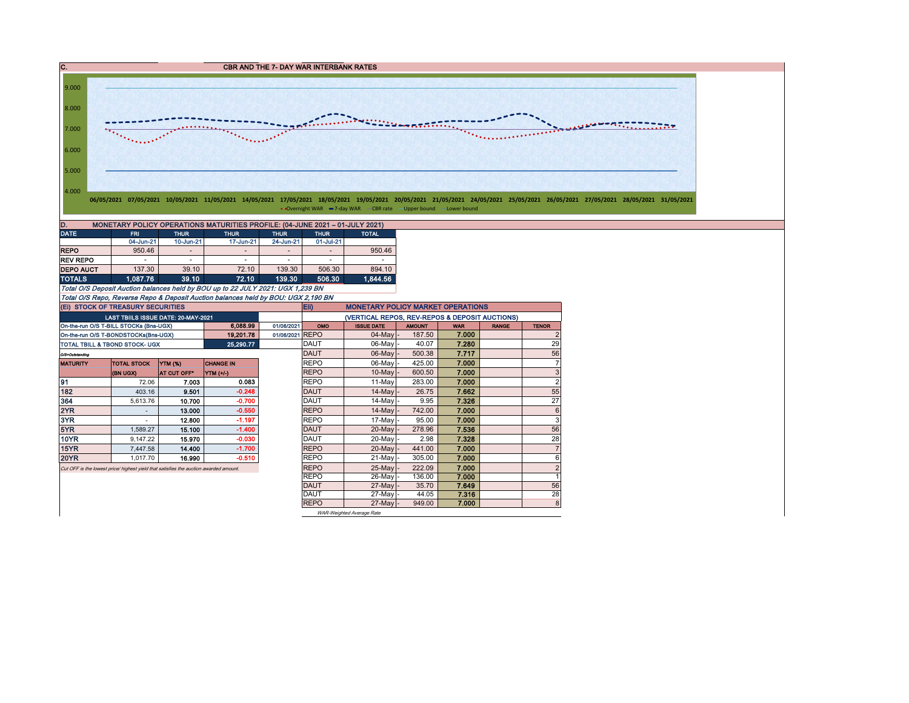

Total O/S Deposit Auction balances held by BOU up to 22 JULY 2021: UGX 1,239 BN Total O/S Repo, Reverse Repo & Deposit Auction balances held by BOU: UGX 2,190 BN

On-the-run O/S T-BILL STOCKs (Bns-UGX) **6,088.99** 01/06/2021 OMO ISSUE DATE AMOUNT WAR RANGE TENOR On-the-run O/S T-BONDSTOCKs(Bns-UGX) | 19,201.78 01/06/2021 REPO | 04-May - 187.50 7.000 | 2 TOTAL TBILL & TBOND STOCK- UGX **25,290.77** DAUT 06-May - 40.07 7.280 29 O/S=Outstanding DAUT 06-May - 500.38 7.717 56 MATURITY TOTAL STOCK YTM (%) CHANGE IN REPO 86-May - 425.00 7.**000** 7. (BN UGX) AT CUT OFF\* YTM (+/-) 10-May |- 600.50 **| 7.000** | 3 91 72.06 7.003 0.083 REPO 11-May 283.00 7.000 2 182 403.16 9.501 -0.248 DAUT 14-May - 26.75 7.662 55 364 | 5,613.76 | 10.700 | -0.700 | DAUT | 14-May |- 9.95 | **7.326 |** 27 2YR - 13.000 -0.550 REPO 14-May - 742.00 7.000 6 3YR | - | 12.800 | -1.197 | |REPO | 17-May|- 95.00 | **7.000 |** | 3 5YR | 1,589.27 | **15.100 | -1.400 |** |DAUT | 20-May |- 278.96 | **7.536 | |** 56 10YR 9,147.22 15.970 -0.030 DAUT 20-May - 2.98 7.328 28 15YR 7,447.58 14.400 -1.700 REPO 20-May - 441.00 7.000 7 20YR 1,017.70 16.990 -0.510 REPO 21-May - 305.00 7.000 6 Cut OFF is the lowest price/ highest yield that satisfies the auction awarded amount. REPO 25-May - 222.09 7.000 2 REPO 26-May - 136.00 7.000 1<br>DAUT 27-May - 35.70 7.649 56 DAUT | 27-May|- 35.70 | **7.649** | 56 DAUT | 27-May|- 44.05 | **7.316** | 28 REPO 27-May - 949.00 7.000 8 Eii) MONETARY POLICY MARKET OPERATIONS LAST TBIILS ISSUE DATE: 20-MAY-2021 (VERTICAL REPOS, REV-REPOS & DEPOSIT AUCTIONS) (Ei) STOCK OF TREASURY SECURITIES

WAR-Weighted Average Rate